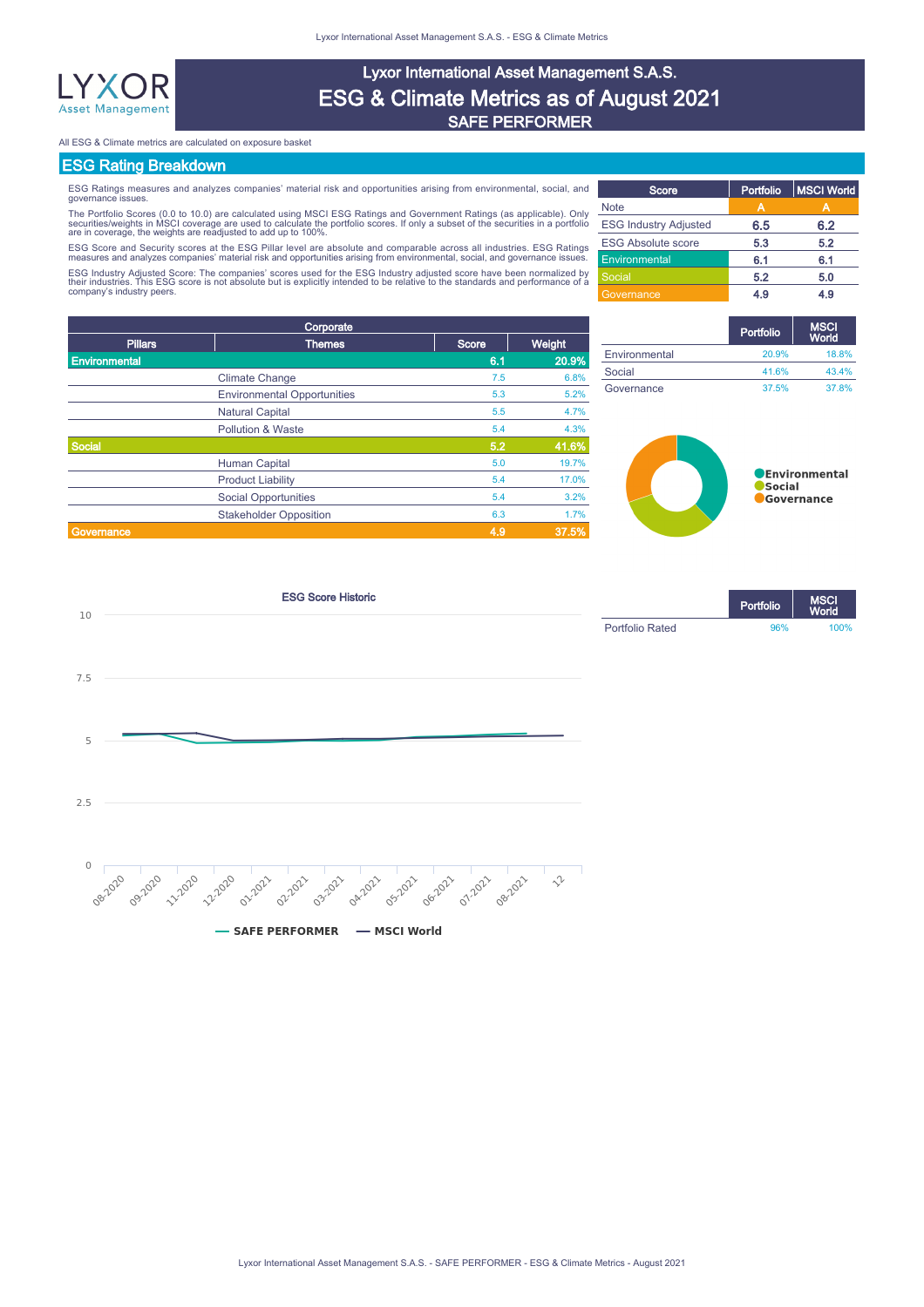

# Lyxor International Asset Management S.A.S. ESG & Climate Metrics as of August 2021 SAFE PERFORMER

All ESG & Climate metrics are calculated on exposure basket

# ESG Rating Breakdown

ESG Ratings measures and analyzes companies' material risk and opportunities arising from environmental, social, and governance issues.

The Portfolio Scores (0.0 to 10.0) are calculated using MSCI ESG Ratings and Government Ratings (as applicable). Only<br>securities/weights in MSCI coverage are used to calculate the portfolio scores. If only a subset of the

ESG Score and Security scores at the ESG Pillar level are absolute and comparable across all industries. ESG Ratings<br>measures and analyzes companies' material risk and opportunities arising from environmental, social, and ESG Industry Adjusted Score: The companies' scores used for the ESG Industry adjusted score have been normalized by<br>their industries. This ESG score is not absolute but is explicitly intended to be relative to the standard

| d      | Score                        | Portfolio         | MSCI World |
|--------|------------------------------|-------------------|------------|
| У      | <b>Note</b>                  |                   |            |
| ò      | <b>ESG Industry Adjusted</b> | 6.5               | 6.2        |
| S      | <b>ESG Absolute score</b>    | 5.3               | 5.2        |
| ś.     | Environmental                | 6.1<br>5.2<br>4.9 | 6.1        |
| y<br>a | Social                       |                   | 5.0        |
|        | Governance                   |                   | 4.9        |

| Corporate      |                                    |       |        |  |  |  |
|----------------|------------------------------------|-------|--------|--|--|--|
| <b>Pillars</b> | <b>Themes</b>                      | Score | Weight |  |  |  |
| Environmental  |                                    | 6.1   | 20.9%  |  |  |  |
|                | <b>Climate Change</b>              | 7.5   | 6.8%   |  |  |  |
|                | <b>Environmental Opportunities</b> | 5.3   | 5.2%   |  |  |  |
|                | <b>Natural Capital</b>             | 5.5   | 4.7%   |  |  |  |
|                | <b>Pollution &amp; Waste</b>       | 5.4   | 4.3%   |  |  |  |
| <b>Social</b>  |                                    | 5.2   | 41.6%  |  |  |  |
|                | Human Capital                      | 5.0   | 19.7%  |  |  |  |
|                | <b>Product Liability</b>           | 5.4   | 17.0%  |  |  |  |
|                | <b>Social Opportunities</b>        | 5.4   | 3.2%   |  |  |  |
|                | <b>Stakeholder Opposition</b>      | 6.3   | 1.7%   |  |  |  |
| Governance     |                                    | 4.9   | 37.5%  |  |  |  |

|               | Portfolio | <b>MSCI</b><br><b>World</b> |
|---------------|-----------|-----------------------------|
| Environmental | 20.9%     | 18.8%                       |
| Social        | 41.6%     | 43.4%                       |
| Governance    | 37.5%     | 37.8%                       |



Portfolio

World

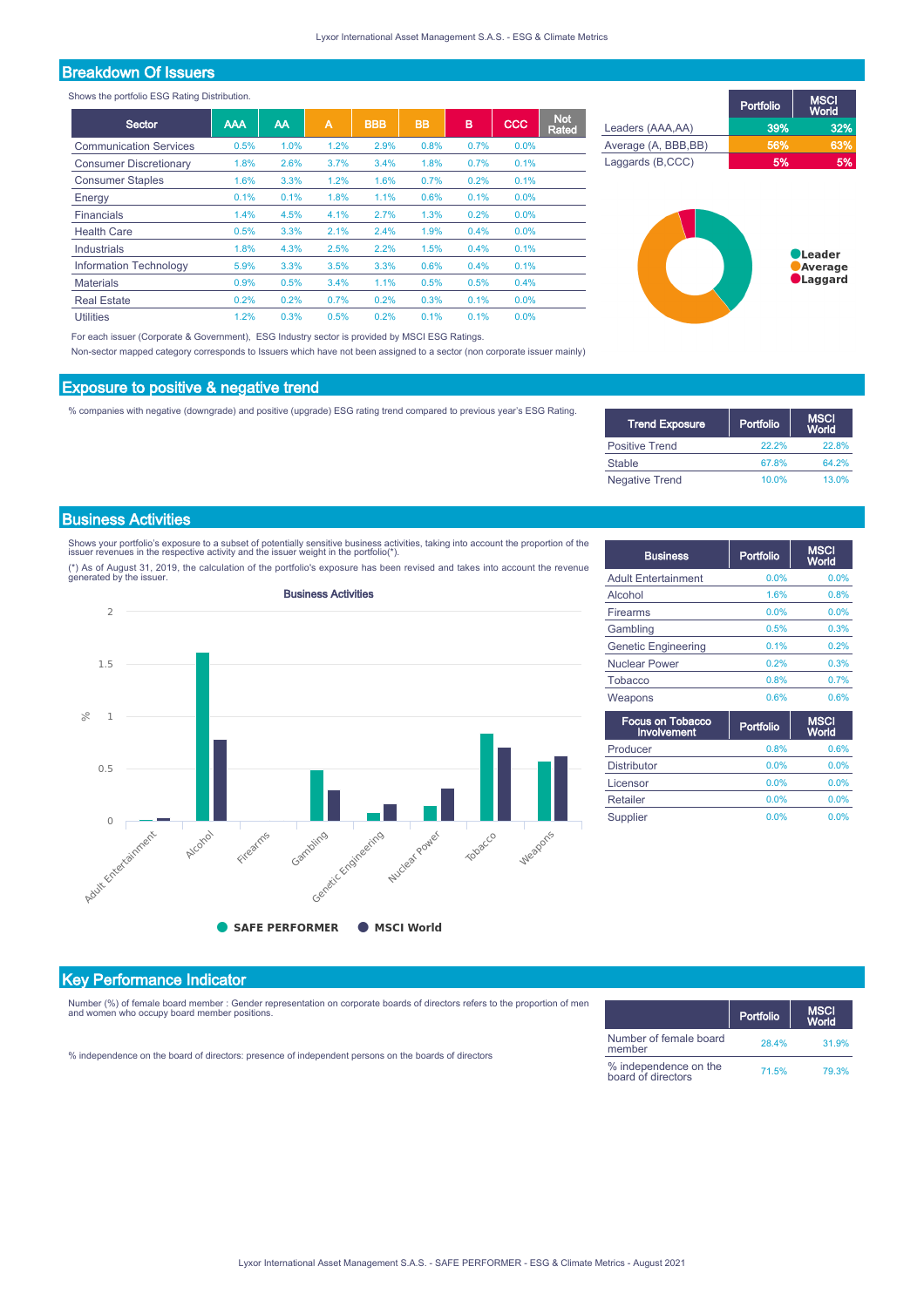# Breakdown Of Issuers

Shows the portfolio ESG Rating Distribution.

|                               |            |      | A    |            |           | B    | <b>CCC</b> | <b>Not</b> |
|-------------------------------|------------|------|------|------------|-----------|------|------------|------------|
| Sector                        | <b>AAA</b> | AA   |      | <b>BBB</b> | <b>BB</b> |      |            | Rated      |
| <b>Communication Services</b> | 0.5%       | 1.0% | 1.2% | 2.9%       | 0.8%      | 0.7% | 0.0%       |            |
| <b>Consumer Discretionary</b> | 1.8%       | 2.6% | 3.7% | 3.4%       | 1.8%      | 0.7% | 0.1%       |            |
| <b>Consumer Staples</b>       | 1.6%       | 3.3% | 1.2% | 1.6%       | 0.7%      | 0.2% | 0.1%       |            |
| Energy                        | 0.1%       | 0.1% | 1.8% | 1.1%       | 0.6%      | 0.1% | 0.0%       |            |
| Financials                    | 1.4%       | 4.5% | 4.1% | 2.7%       | 1.3%      | 0.2% | 0.0%       |            |
| <b>Health Care</b>            | 0.5%       | 3.3% | 2.1% | 2.4%       | 1.9%      | 0.4% | 0.0%       |            |
| Industrials                   | 1.8%       | 4.3% | 2.5% | 2.2%       | 1.5%      | 0.4% | 0.1%       |            |
| <b>Information Technology</b> | 5.9%       | 3.3% | 3.5% | 3.3%       | 0.6%      | 0.4% | 0.1%       |            |
| <b>Materials</b>              | 0.9%       | 0.5% | 3.4% | 1.1%       | 0.5%      | 0.5% | 0.4%       |            |
| <b>Real Estate</b>            | 0.2%       | 0.2% | 0.7% | 0.2%       | 0.3%      | 0.1% | 0.0%       |            |
| <b>Utilities</b>              | 1.2%       | 0.3% | 0.5% | 0.2%       | 0.1%      | 0.1% | 0.0%       |            |

For each issuer (Corporate & Government), ESG Industry sector is provided by MSCI ESG Ratings.

Non-sector mapped category corresponds to Issuers which have not been assigned to a sector (non corporate issuer mainly)

### Exposure to positive & negative trend

% companies with negative (downgrade) and positive (upgrade) ESG rating trend compared to previous year's ESG Rating.

| <b>Trend Exposure</b> | Portfolio | <b>MSCI</b><br><b>World</b> |
|-----------------------|-----------|-----------------------------|
| <b>Positive Trend</b> | 22.2%     | <b>22.8%</b>                |
| Stable                | 67.8%     | 64.2%                       |
| <b>Negative Trend</b> | 10.0%     | 13.0%                       |

Portfolio

Leaders (AAA,AA) 39% 32%

Laggards (B,CCC) 5% 5%

Average (A, BBB, BB) 66%

*ASCI*<br>Vorld

**OLeader** Average  $\bullet$ Laggard

# Business Activities

Shows your portfolio's exposure to a subset of potentially sensitive business activities, taking into account the proportion of the<br>issuer revenues in the respective activity and the issuer weight in the portfolio(\*).

(\*) As of August 31, 2019, the calculation of the portfolio's exposure has been revised and takes into account the revenue generated by the issuer.



| <b>Business</b>            | Portfolio | <b>MSCI</b><br>World |
|----------------------------|-----------|----------------------|
| <b>Adult Entertainment</b> | 0.0%      | 0.0%                 |
| Alcohol                    | 1.6%      | 0.8%                 |
| Firearms                   | 0.0%      | 0.0%                 |
| Gambling                   | 0.5%      | 0.3%                 |
| <b>Genetic Engineering</b> | 0.1%      | 0.2%                 |
| <b>Nuclear Power</b>       | 0.2%      | 0.3%                 |
| Tobacco                    | 0.8%      | 0.7%                 |
| Weapons                    | 0.6%      | 0.6%                 |

| <b>Focus on Tobacco</b><br><b>Involvement</b> | Portfolio | <b>MSCI</b><br>World |
|-----------------------------------------------|-----------|----------------------|
| Producer                                      | 0.8%      | 0.6%                 |
| <b>Distributor</b>                            | 0.0%      | 0.0%                 |
| Licensor                                      | 0.0%      | 0.0%                 |
| Retailer                                      | 0.0%      | 0.0%                 |
| Supplier                                      | 0.0%      | 0.0%                 |

# Key Performance Indicator

Number (%) of female board member : Gender representation on corporate boards of directors refers to the proportion of men and women who occupy board member positions.

|  |  | % independence on the board of directors: presence of independent persons on the boards of directors |
|--|--|------------------------------------------------------------------------------------------------------|
|  |  |                                                                                                      |

|                                             | Portfolio | <b>MSCI</b><br>World |
|---------------------------------------------|-----------|----------------------|
| Number of female board<br>member            | 28.4%     | 31.9%                |
| % independence on the<br>board of directors | 71.5%     | 79.3%                |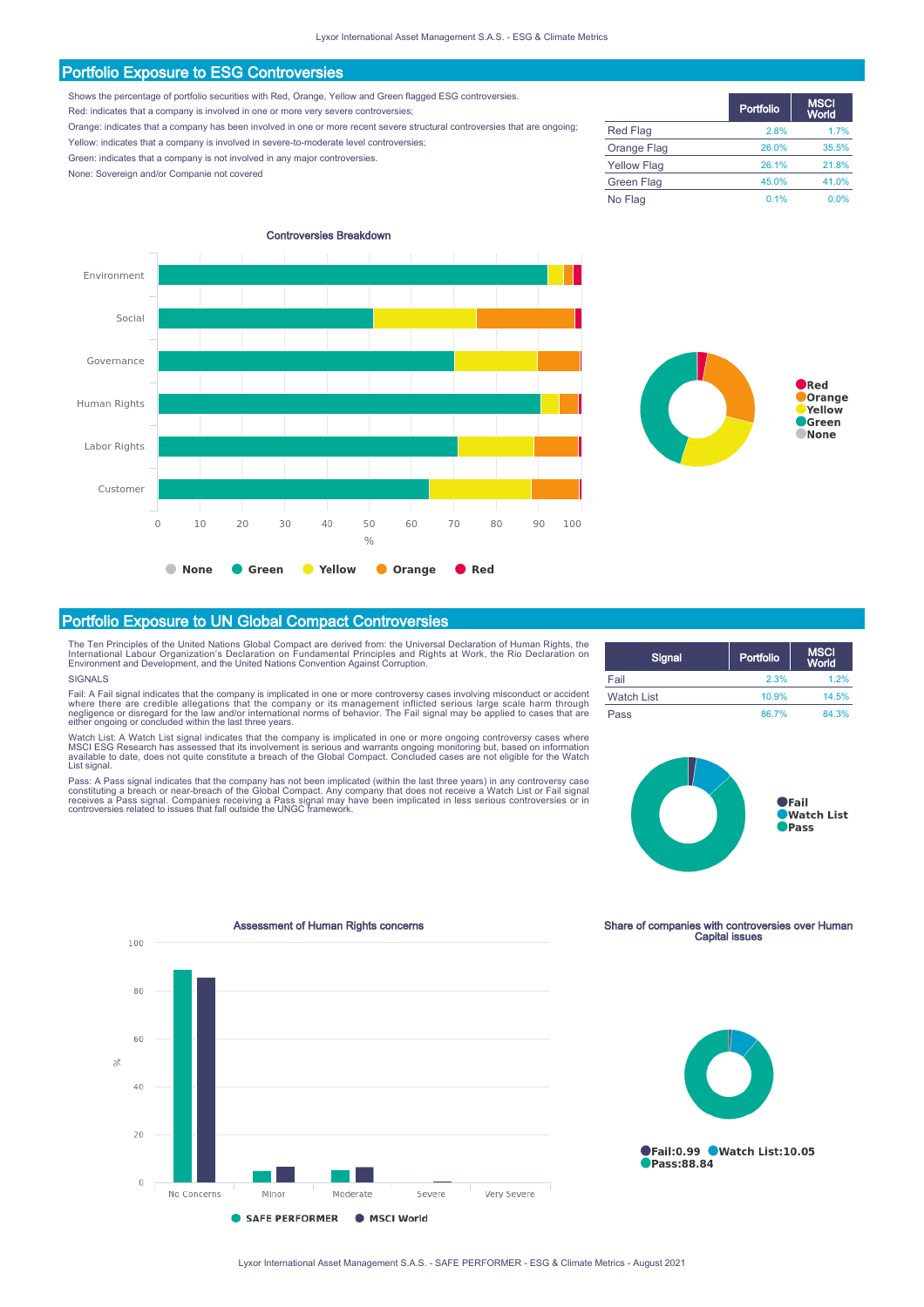### Portfolio Exposure to ESG Controversies

Shows the percentage of portfolio securities with Red, Orange, Yellow and Green flagged ESG controversies.

Red: indicates that a company is involved in one or more very severe controversies;

Orange: indicates that a company has been involved in one or more recent severe structural controversies that are ongoing; Yellow: indicates that a company is involved in severe-to-moderate level controversies;

Green: indicates that a company is not involved in any major controversies.

None: Sovereign and/or Companie not covered



|                    | Portfolio | <b>MSCI</b><br>World |
|--------------------|-----------|----------------------|
| <b>Red Flag</b>    | 2.8%      | 1.7%                 |
| Orange Flag        | 26.0%     | 35.5%                |
| <b>Yellow Flag</b> | 26.1%     | 21.8%                |
| <b>Green Flag</b>  | 45.0%     | 41.0%                |
| No Flag            | 0.1%      | 0.0%                 |



The Ten Principles of the United Nations Global Compact are derived from: the Universal Declaration of Human Rights, the<br>International Labour Organization's Declaration on Fundamental Principles and Rights at Work, the Rio

### SIGNALS

Fail: A Fail signal indicates that the company is implicated in one or more controversy cases involving misconduct or accident<br>where there are credible allegations that the company or its management inflicted serious large

Watch List: A Watch List signal indicates that the company is implicated in one or more ongoing controversy cases where<br>MSCI ESG Research has assessed that its involvement is serious and warrants ongoing monitoring but, ba

| Signal            | Portfolio | <b>MSCI</b><br>World |
|-------------------|-----------|----------------------|
| Fail              | 2.3%      | 1.2%                 |
| <b>Watch List</b> | 10.9%     | 14.5%                |
| Pass              | 86.7%     | 84.3%                |



Assessment of Human Rights concerns Share of companies with controversies over Human<br>Capital issues 100 80 60  $\mathscr{L}$ 40  $20$  $\circ$ No Concerns Moderate Severe Very Severe SAFE PERFORMER MSCI World



Tail:0.99 Watch List:10.05 Pass:88.84

Portfolio Exposure to UN Global Compact Controversies

Pass: A Pass signal indicates that the company has not been implicated (within the last three years) in any controversy case<br>constituting a breach or near-breach of the Global Compact. Any company that does not receive a W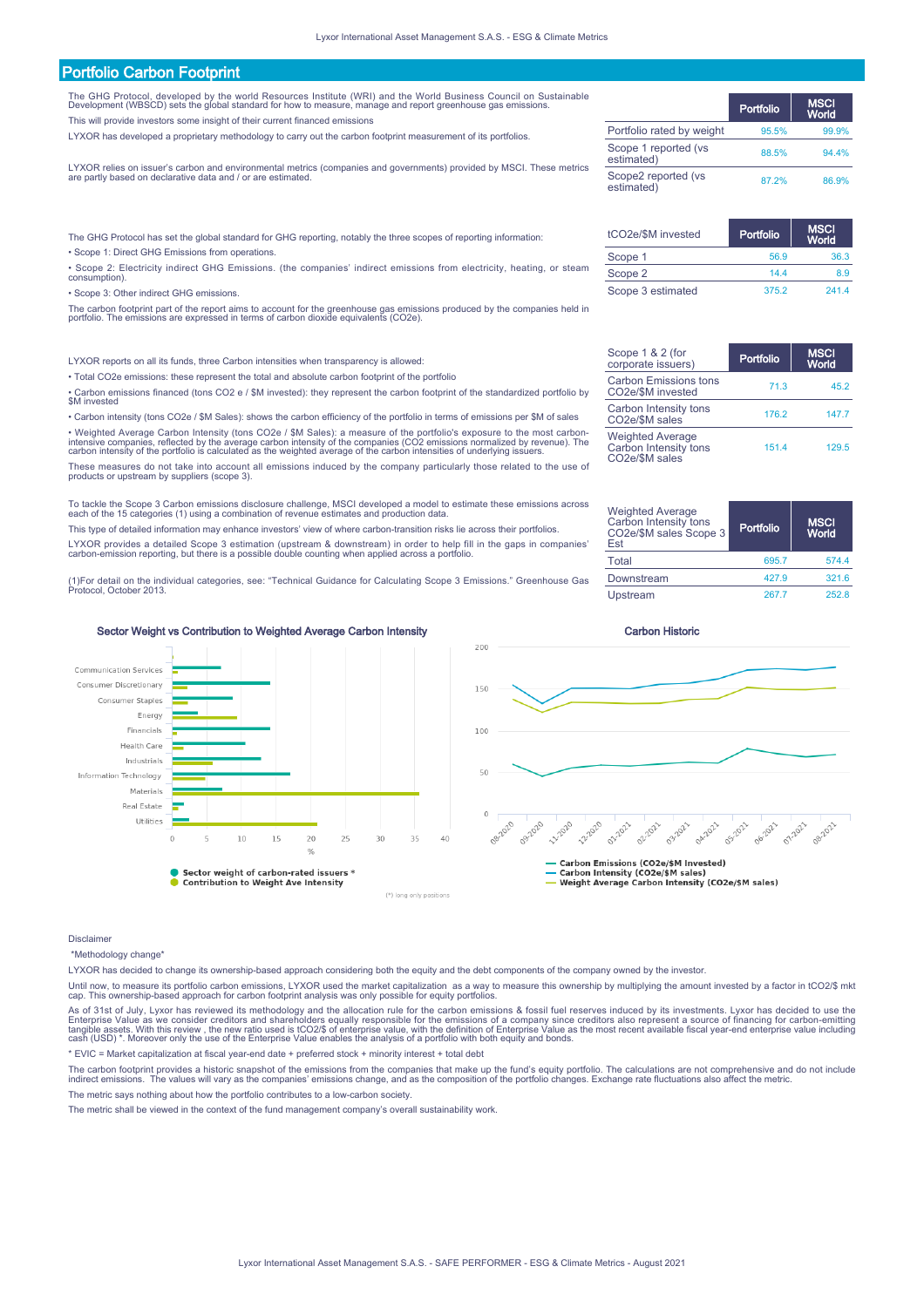# Portfolio Carbon Footprint

The GHG Protocol, developed by the world Resources Institute (WRI) and the World Business Council on Sustainable Development (WBSCD) sets the global standard for how to measure, manage and report greenhouse gas emissions.

This will provide investors some insight of their current financed emissions

LYXOR has developed a proprietary methodology to carry out the carbon footprint measurement of its portfolios.

LYXOR relies on issuer's carbon and environmental metrics (companies and governments) provided by MSCI. These metrics are partly based on declarative data and / or are estimated.

The GHG Protocol has set the global standard for GHG reporting, notably the three scopes of reporting information: • Scope 1: Direct GHG Emissions from operations.

• Scope 2: Electricity indirect GHG Emissions. (the companies' indirect emissions from electricity, heating, or steam consumption).

• Scope 3: Other indirect GHG emissions.

The carbon footprint part of the report aims to account for the greenhouse gas emissions produced by the companies held in portfolio. The emissions are expressed in terms of carbon dioxide equivalents (CO2e).

LYXOR reports on all its funds, three Carbon intensities when transparency is allowed:

• Total CO2e emissions: these represent the total and absolute carbon footprint of the portfolio

• Carbon emissions financed (tons CO2 e / \$M invested): they represent the carbon footprint of the standardized portfolio by \$M invested

• Carbon intensity (tons CO2e / \$M Sales): shows the carbon efficiency of the portfolio in terms of emissions per \$M of sales

• Weighted Average Carbon Intensity (tons CO2e / \$M Sales): a measure of the portfolio's exposure to the most carbon-<br>intensive companies, reflected by the average carbon intensity of the companies (CO2 emissions normalize

These measures do not take into account all emissions induced by the company particularly those related to the use of products or upstream by suppliers (scope 3).

To tackle the Scope 3 Carbon emissions disclosure challenge, MSCI developed a model to estimate these emissions across each of the 15 categories (1) using a combination of revenue estimates and production data.

This type of detailed information may enhance investors' view of where carbon-transition risks lie across their portfolios.

LYXOR provides a detailed Scope 3 estimation (upstream & downstream) in order to help fill in the gaps in companies' carbon-emission reporting, but there is a possible double counting when applied across a portfolio.

(1)For detail on the individual categories, see: "Technical Guidance for Calculating Scope 3 Emissions." Greenhouse Gas Protocol, October 2013.



- Carbon Emilosofic (CO2e/\$M sales)<br>-- Carbon Intensity (CO2e/\$M sales)<br>-- Weight Average Carbon Intensity (CO2e/\$M sales)

### Sector Weight vs Contribution to Weighted Average Carbon Intensity Carbon Carbon Historic



### Disclaimer

\*Methodology change\*

LYXOR has decided to change its ownership-based approach considering both the equity and the debt components of the company owned by the investor.

Until now, to measure its portfolio carbon emissions, LYXOR used the market capitalization as a way to measure this ownership by multiplying the amount invested by a factor in tCO2/\$ mkt<br>cap. This ownership-based approach

As of 31st of July, Lyxor has reviewed its methodology and the allocation rule for the carbon emissions & fossil fuel reserves induced by its investments. Lyxor has decided to use the<br>Enterprise Value as we consider credit

\* EVIC = Market capitalization at fiscal year-end date + preferred stock + minority interest + total debt

The carbon footprint provides a historic snapshot of the emissions from the companies that make up the fund's equity portfolio. The calculations are not comprehensive and do not include<br>indirect emissions. The values will

The metric says nothing about how the portfolio contributes to a low-carbon society.

The metric shall be viewed in the context of the fund management company's overall sustainability work.

|                                    | Portfolio | <b>MSCI</b><br>World |
|------------------------------------|-----------|----------------------|
| Portfolio rated by weight          | 95.5%     | 99.9%                |
| Scope 1 reported (vs<br>estimated) | 88.5%     | 94.4%                |
| Scope2 reported (vs<br>estimated)  | 87 2%     | 86.9%                |

| tCO2e/\$M invested | Portfolio | <b>MSCI</b><br>World |
|--------------------|-----------|----------------------|
| Scope 1            | 56.9      | 36.3                 |
| Scope 2            | 144       | 89                   |
| Scope 3 estimated  | 375.2     | 2414                 |

| Scope 1 & 2 (for<br>corporate issuers)                             | Portfolio | <b>MSCI</b><br>World |
|--------------------------------------------------------------------|-----------|----------------------|
| <b>Carbon Emissions tons</b><br>CO2e/\$M invested                  | 71.3      | 45.2                 |
| Carbon Intensity tons<br>CO2e/\$M sales                            | 176.2     | 147.7                |
| <b>Weighted Average</b><br>Carbon Intensity tons<br>CO2e/\$M sales | 151.4     | 129.5                |

| Weighted Average<br>Carbon Intensity tons<br>CO2e/\$M sales Scope 3<br>Est | Portfolio | <b>MSCI</b><br>World |
|----------------------------------------------------------------------------|-----------|----------------------|
| Total                                                                      | 695.7     | 574.4                |
| Downstream                                                                 | 427.9     | 321.6                |
| Upstream                                                                   | 267.7     | 252.8                |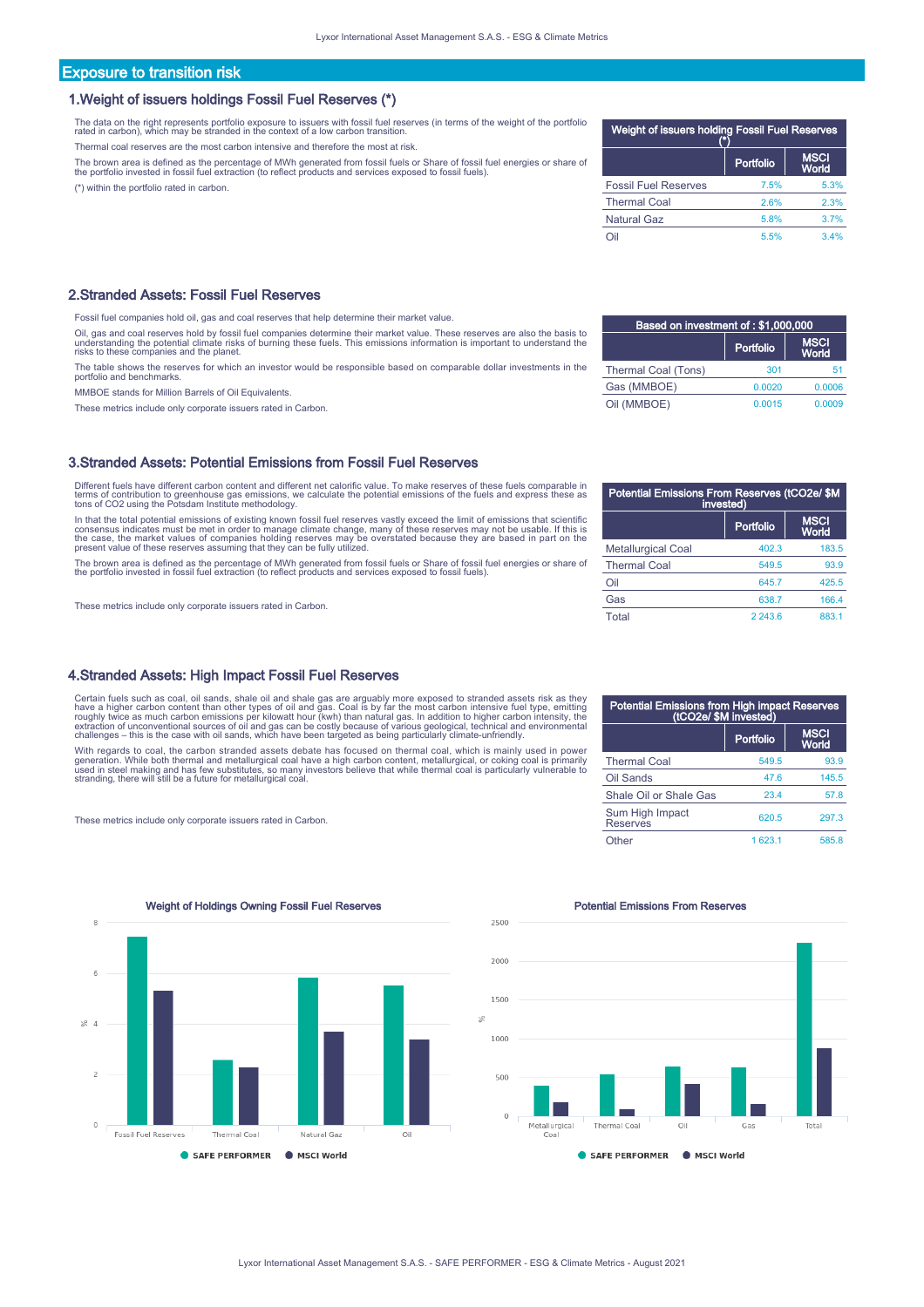# Exposure to transition risk

### 1.Weight of issuers holdings Fossil Fuel Reserves (\*)

The data on the right represents portfolio exposure to issuers with fossil fuel reserves (in terms of the weight of the portfolio rated in carbon), which may be stranded in the context of a low carbon transition.

Thermal coal reserves are the most carbon intensive and therefore the most at risk.

The brown area is defined as the percentage of MWh generated from fossil fuels or Share of fossil fuel energies or share of<br>the portfolio invested in fossil fuel extraction (to reflect products and services exposed to foss

(\*) within the portfolio rated in carbon.

### 2.Stranded Assets: Fossil Fuel Reserves

Fossil fuel companies hold oil, gas and coal reserves that help determine their market value.

Oil, gas and coal reserves hold by fossil fuel companies determine their market value. These reserves are also the basis to<br>understanding the potential climate risks of burning these fuels. This emissions information is im

The table shows the reserves for which an investor would be responsible based on comparable dollar investments in the portfolio and benchmarks.

MMBOE stands for Million Barrels of Oil Equivalents.

These metrics include only corporate issuers rated in Carbon.

### 3.Stranded Assets: Potential Emissions from Fossil Fuel Reserves

Different fuels have different carbon content and different net calorific value. To make reserves of these fuels comparable in terms of contribution to greenhouse gas emissions, we calculate the potential emissions of the fuels and express these as tons of CO2 using the Potsdam Institute methodology.

In that the total potential emissions of existing known fossil fuel reserves vastly exceed the limit of emissions that scientific<br>consensus indicates must be met in order to manage climate change, many of these reserves ma

The brown area is defined as the percentage of MWh generated from fossil fuels or Share of fossil fuel energies or share of<br>the portfolio invested in fossil fuel extraction (to reflect products and services exposed to foss

These metrics include only corporate issuers rated in Carbon.

### 4.Stranded Assets: High Impact Fossil Fuel Reserves

Certain fuels such as coal, oil sands, shale oil and shale gas are arguably more exposed to stranded assets risk as they<br>have a higher carbon content than other types of oil and gas. Coal is by far the most carbon intensiv

With regards to coal, the carbon stranded assets debate has focused on thermal coal, which is mainly used in power generatíon. While both thermal and metallurgical coal have a high carbon content, metallurgical, or coking coal is primarily<br>used in steel making and has few substitutes, so many investors believe that while thermal coal i

These metrics include only corporate issuers rated in Carbon.

| 8                                     | Weight of Holdings Owning Fossil Fuel Reserves |                       |                   |     |
|---------------------------------------|------------------------------------------------|-----------------------|-------------------|-----|
|                                       |                                                |                       |                   |     |
| 6                                     |                                                |                       |                   |     |
| $\geqslant 4$                         |                                                |                       |                   |     |
| $\overline{2}$                        |                                                |                       |                   |     |
| $\begin{array}{c} 0 \\ 0 \end{array}$ | Fossil Fuel Reserves                           | Thermal Coal          | Natural Gaz       | Oil |
|                                       |                                                | <b>SAFE PERFORMER</b> | <b>MSCI World</b> |     |

# Weight of issuers holding Fossil Fuel Reserves (\*) Portfolio MSC<br>Mork Fossil Fuel Reserves 7.5% 5.3% Thermal Coal 2.6% 2.3% Natural Gaz 5.8% 3.7% Oil 5.5% 3.4%

| Based on investment of: \$1,000,000 |           |                      |  |
|-------------------------------------|-----------|----------------------|--|
|                                     | Portfolio | <b>MSCI</b><br>World |  |
| Thermal Coal (Tons)                 | 301       | 51                   |  |
| Gas (MMBOE)                         | 0.0020    | 0.0006               |  |
| Oil (MMBOE)                         | 0.0015    | 0.0009               |  |

| Potential Emissions From Reserves (tCO2e/ \$M<br>invested) |           |                      |  |
|------------------------------------------------------------|-----------|----------------------|--|
|                                                            | Portfolio | <b>MSCI</b><br>World |  |
| <b>Metallurgical Coal</b>                                  | 402.3     | 183.5                |  |
| <b>Thermal Coal</b>                                        | 549.5     | 93.9                 |  |
| Oil                                                        | 645.7     | 425.5                |  |
| Gas                                                        | 638.7     | 166.4                |  |
| Total                                                      | 2 243.6   | 883.1                |  |

| Potential Emissions from High impact Reserves<br>(tCO2e/ \$M invested) |           |                      |
|------------------------------------------------------------------------|-----------|----------------------|
|                                                                        | Portfolio | <b>MSCI</b><br>World |
| <b>Thermal Coal</b>                                                    | 549.5     | 93.9                 |
| Oil Sands                                                              | 47.6      | 145.5                |
| Shale Oil or Shale Gas                                                 | 23.4      | 57.8                 |
| Sum High Impact<br><b>Reserves</b>                                     | 620.5     | 297.3                |
| )ther                                                                  | 1 623.1   | 585.8                |



### **Potential Emissions From Reserves**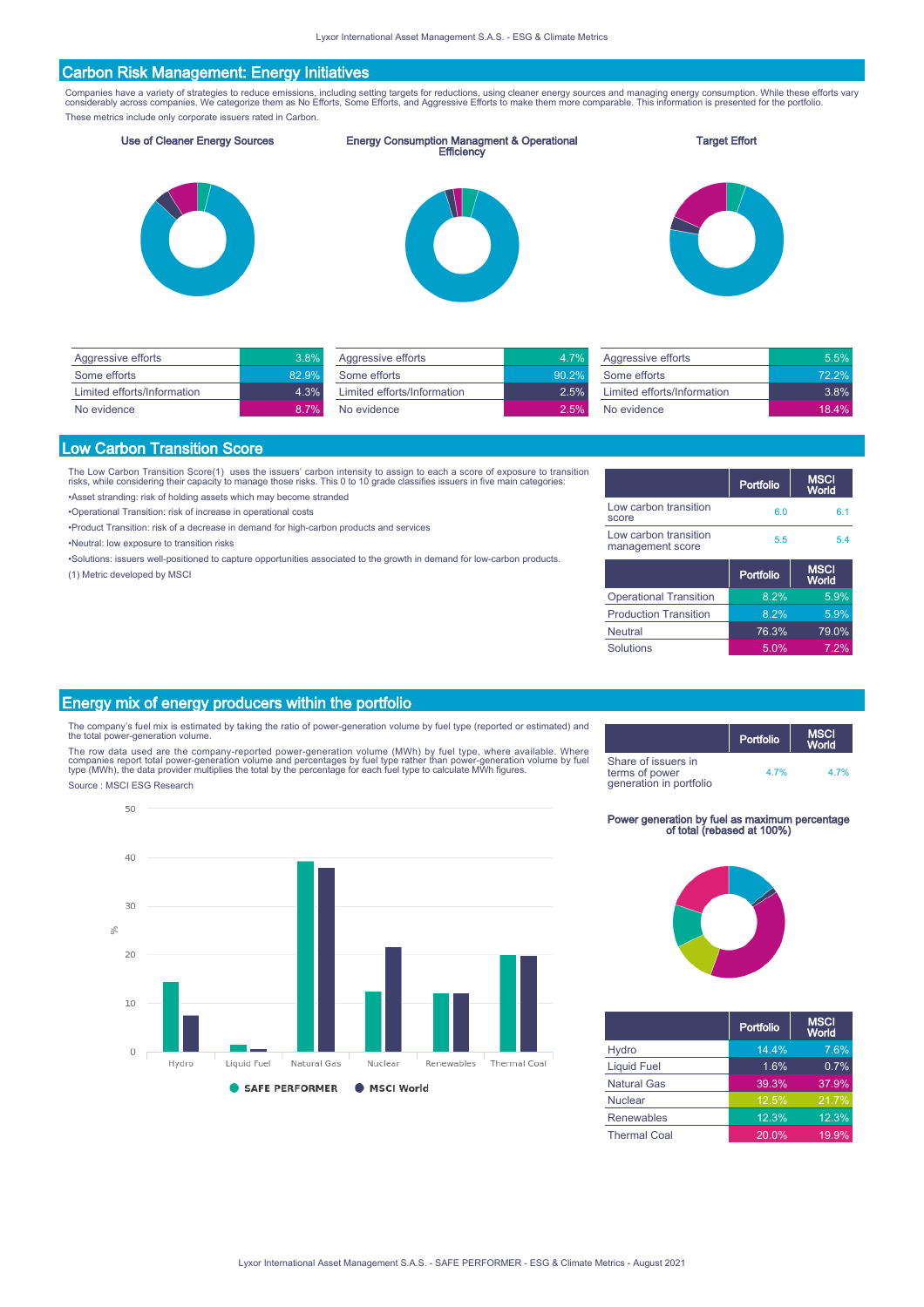# Carbon Risk Management: Energy Initiatives

Companies have a variety of strategies to reduce emissions, including setting targets for reductions, using cleaner energy sources and managing energy consumption. While these efforts vary<br>considerably across companies. We These metrics include only corporate issuers rated in Carbon.

Use of Cleaner Energy Sources Energy Consumption Managment & Operational Efficiency

### Target Effort







| Aggressive efforts          | 3.8%  |
|-----------------------------|-------|
| Some efforts                | 82.9% |
| Limited efforts/Information | 4.3%  |
| No evidence                 | 8.7%  |

| Aggressive efforts          | 4 7%  |
|-----------------------------|-------|
| Some efforts                | 90.2% |
| Limited efforts/Information | 2.5%  |
| No evidence                 | 2.5%  |
|                             |       |

| Aggressive efforts          | $5.5\%$  |
|-----------------------------|----------|
| Some efforts                | $72.2\%$ |
| Limited efforts/Information | 3.8%     |
| No evidence                 | 18.4%    |

### Low Carbon Transition Score

The Low Carbon Transition Score(1) uses the issuers' carbon intensity to assign to each a score of exposure to transition<br>risks, while considering their capacity to manage those risks. This 0 to 10 grade classifies issuer

•Asset stranding: risk of holding assets which may become stranded

•Operational Transition: risk of increase in operational costs

- •Product Transition: risk of a decrease in demand for high-carbon products and services
- •Neutral: low exposure to transition risks
- 
- •Solutions: issuers well-positioned to capture opportunities associated to the growth in demand for low-carbon products. (1) Metric developed by MSCI

|                                           | Portfolio | <b>MSCI</b><br>World |
|-------------------------------------------|-----------|----------------------|
| Low carbon transition<br>score            | 6.0       | 61                   |
| Low carbon transition<br>management score | 5.5       | 5.4                  |
|                                           |           |                      |
|                                           | Portfolio | <b>MSCI</b><br>World |
| <b>Operational Transition</b>             | 8.2%      | 5.9%                 |
| <b>Production Transition</b>              | 8.2%      | 5.9%                 |
| <b>Neutral</b>                            | 76.3%     | 79.0%                |

# Energy mix of energy producers within the portfolio

The company's fuel mix is estimated by taking the ratio of power-generation volume by fuel type (reported or estimated) and the total power-generation volume.

The row data used are the company-reported power-generation volume (MWh) by fuel type, where available. Where<br>companies report total power-generation volume and percentages by fuel type rather than power-generation volume



# Power generation by fuel as maximum percentage of total (rebased at 100%)



|                     | Portfolio           | <b>MSCI</b><br>World |
|---------------------|---------------------|----------------------|
| Hydro               | 14.4%               | 7.6%                 |
| <b>Liquid Fuel</b>  | 1.6%                | 0.7%                 |
| <b>Natural Gas</b>  | 39.3%               | 37.9%                |
| <b>Nuclear</b>      | 12.5%               | 21.7%                |
| <b>Renewables</b>   | $12.\overline{3\%}$ | 12.3%                |
| <b>Thermal Coal</b> | 20.0%               | 19.9%                |

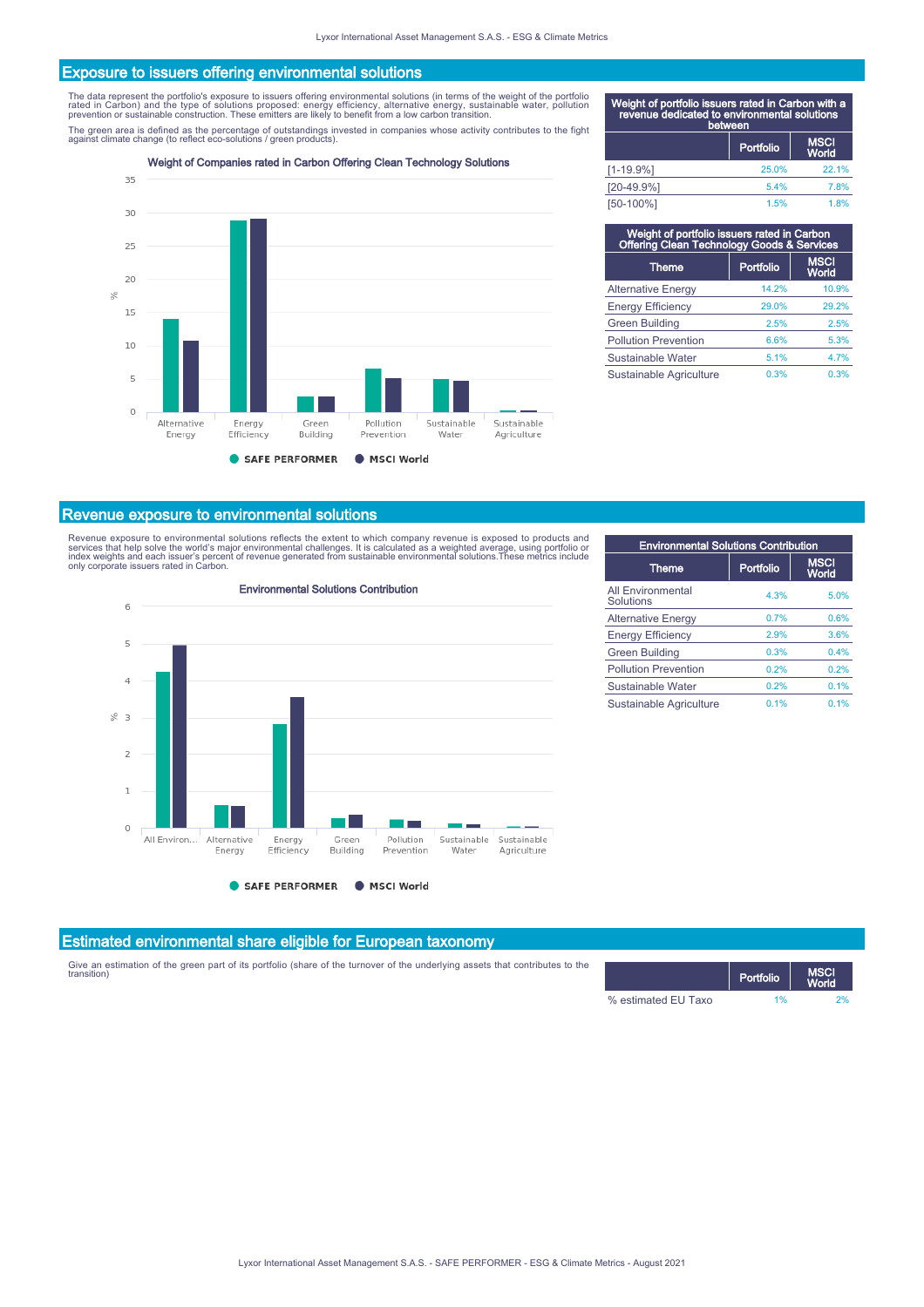### Exposure to issuers offering environmental solutions

The data represent the portfolio's exposure to issuers offering environmental solutions (in terms of the weight of the portfolio<br>rated in Carbon) and the type of solutions proposed: energy efficiency, alternative energy, s

The green area is defined as the percentage of outstandings invested in companies whose activity contributes to the fight<br>against climate change (to reflect eco-solutions / green products).

Weight of Companies rated in Carbon Offering Clean Technology Solutions



| Weight of portfolio issuers rated in Carbon with a<br>revenue dedicated to environmental solutions | between   |                      |
|----------------------------------------------------------------------------------------------------|-----------|----------------------|
|                                                                                                    | Portfolio | <b>MSCI</b><br>World |
| $[1 - 19.9%]$                                                                                      | 25.0%     | 22.1%                |
| $[20-49.9%]$                                                                                       | 5.4%      | 7.8%                 |
| [50-100%]                                                                                          | 1.5%      | 1.8%                 |

| Weight of portfolio issuers rated in Carbon<br>Offering Clean Technology Goods & Services |           |                      |  |
|-------------------------------------------------------------------------------------------|-----------|----------------------|--|
| <b>Theme</b>                                                                              | Portfolio | <b>MSCI</b><br>World |  |
| <b>Alternative Energy</b>                                                                 | 14.2%     | 10.9%                |  |
| <b>Energy Efficiency</b>                                                                  | 29.0%     | 29.2%                |  |
| <b>Green Building</b>                                                                     | 2.5%      | 2.5%                 |  |
| <b>Pollution Prevention</b>                                                               | 6.6%      | 5.3%                 |  |
| Sustainable Water                                                                         | 5.1%      | 4.7%                 |  |
| Sustainable Agriculture                                                                   | 0.3%      | 0.3%                 |  |

### Revenue exposure to environmental solutions

Revenue exposure to environmental solutions reflects the extent to which company revenue is exposed to products and<br>services that help solve the world's major environmental challenges. It is calculated as a weighted averag



| <b>Environmental Solutions Contribution</b> |           |                      |
|---------------------------------------------|-----------|----------------------|
| <b>Theme</b>                                | Portfolio | <b>MSCI</b><br>World |
| <b>All Environmental</b><br>Solutions       | 4.3%      | 5.0%                 |
| <b>Alternative Energy</b>                   | 0.7%      | 0.6%                 |
| <b>Energy Efficiency</b>                    | 2.9%      | 3.6%                 |
| <b>Green Building</b>                       | 0.3%      | 0.4%                 |
| <b>Pollution Prevention</b>                 | 0.2%      | 0.2%                 |
| Sustainable Water                           | 0.2%      | 0.1%                 |
| Sustainable Agriculture                     | 0.1%      | 0.1%                 |

# Estimated environmental share eligible for European taxonomy

Give an estimation of the green part of its portfolio (share of the turnover of the underlying assets that contributes to the window the state of the underlying assets that contributes to the state of the state of the MSCI

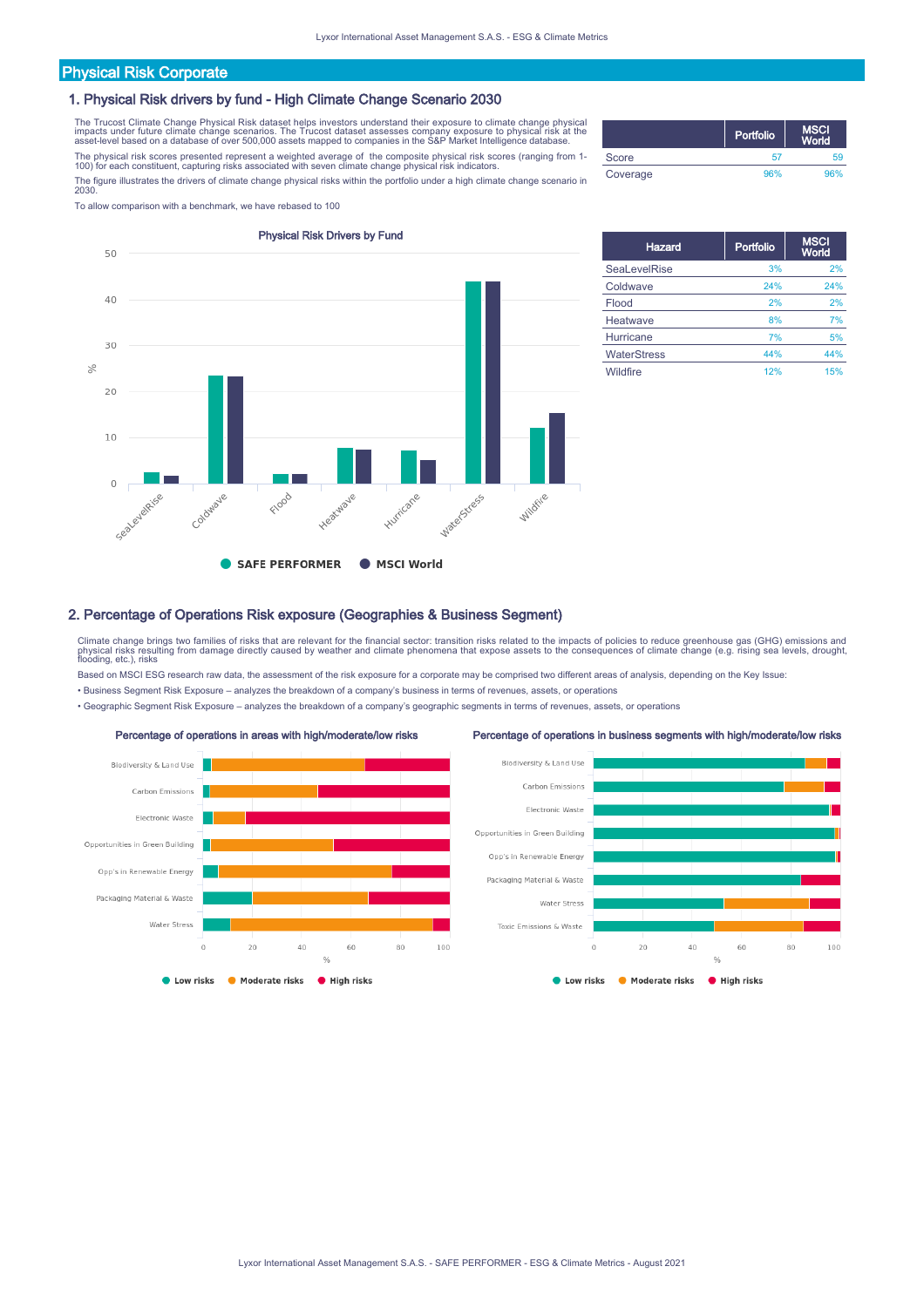# Physical Risk Corporate

### 1. Physical Risk drivers by fund - High Climate Change Scenario 2030

The Trucost Climate Change Physical Risk dataset helps investors understand their exposure to climate change physical<br>impacts under future climate change scenarios. The Trucost dataset assesses company exposure to physical The physical risk scores presented represent a weighted average of the composite physical risk scores (ranging from 1- 100) for each constituent, capturing risks associated with seven climate change physical risk indicators.

The figure illustrates the drivers of climate change physical risks within the portfolio under a high climate change scenario in 2030.

To allow comparison with a benchmark, we have rebased to 100



|          | Portfolio | <b>MSCI</b><br>World |
|----------|-----------|----------------------|
| Score    | 57        | 59                   |
| Coverage | 96%       | 96%                  |

| <b>Hazard</b>       | Portfolio | <b>MSCI</b><br>World |
|---------------------|-----------|----------------------|
| <b>SeaLevelRise</b> | 3%        | 2%                   |
| Coldwave            | 24%       | 24%                  |
| Flood               | 2%        | 2%                   |
| Heatwave            | 8%        | 7%                   |
| Hurricane           | 7%        | 5%                   |
| <b>WaterStress</b>  | 44%       | 44%                  |
| Wildfire            | 12%       | 15%                  |

### 2. Percentage of Operations Risk exposure (Geographies & Business Segment)

Climate change brings two families of risks that are relevant for the financial sector: transition risks related to the impacts of policies to reduce greenhouse gas (GHG) emissions and physical risks resulting from damage directly caused by weather and climate phenomena that expose assets to the consequences of climate change (e.g. rising sea levels, drought,<br>flooding, etc.), risks

Based on MSCI ESG research raw data, the assessment of the risk exposure for a corporate may be comprised two different areas of analysis, depending on the Key Issue:

• Business Segment Risk Exposure – analyzes the breakdown of a company's business in terms of revenues, assets, or operations

• Geographic Segment Risk Exposure – analyzes the breakdown of a company's geographic segments in terms of revenues, assets, or operations

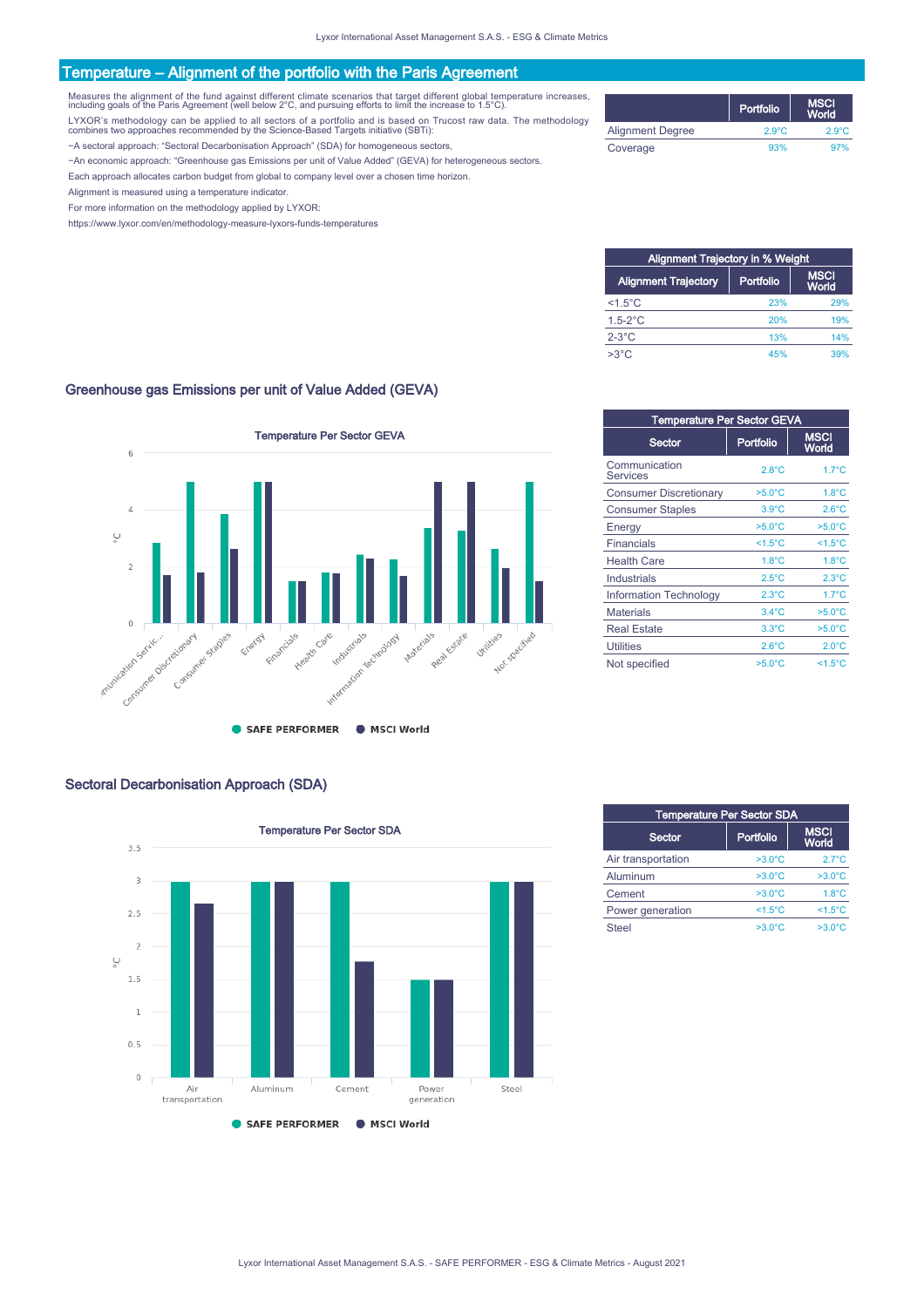# Temperature – Alignment of the portfolio with the Paris Agreement

Measures the alignment of the fund against different climate scenarios that target different global temperature increases,<br>including goals of the Paris Agreement (well below 2°C, and pursuing efforts to limit the increase

LYXOR's methodology can be applied to all sectors of a portfolio and is based on Trucost raw data. The methodology combines two approaches recommended by the Science-Based Targets initiative (SBTi):

−A sectoral approach: "Sectoral Decarbonisation Approach" (SDA) for homogeneous sectors,

−An economic approach: "Greenhouse gas Emissions per unit of Value Added" (GEVA) for heterogeneous sectors.

Each approach allocates carbon budget from global to company level over a chosen time horizon.

Alignment is measured using a temperature indicator.

For more information on the methodology applied by LYXOR:

https://www.lyxor.com/en/methodology-measure-lyxors-funds-temperatures

|                         | Portfolio       | <b>MSCI</b><br><b>World</b> |
|-------------------------|-----------------|-----------------------------|
| <b>Alignment Degree</b> | $2.9^{\circ}$ C | $2.9^{\circ}$ C             |
| Coverage                | 93%             | 97%                         |

| <b>Alignment Trajectory in % Weight</b> |           |                      |
|-----------------------------------------|-----------|----------------------|
| <b>Alignment Trajectory</b>             | Portfolio | <b>MSCI</b><br>World |
| $<$ 1.5 $^{\circ}$ C                    | 23%       | 29%                  |
| $1.5 - 2$ °C                            | 20%       | 19%                  |
| $2-3$ °C                                | 13%       | 14%                  |
| $>3^{\circ}$ C                          | 45%       | 39%                  |

## Greenhouse gas Emissions per unit of Value Added (GEVA)



# Sectoral Decarbonisation Approach (SDA)



| <b>Temperature Per Sector GEVA</b> |                  |                      |  |
|------------------------------------|------------------|----------------------|--|
| Sector                             | Portfolio        | <b>MSCI</b><br>World |  |
| Communication<br><b>Services</b>   | $2.8^{\circ}$ C  | $1.7^{\circ}$ C      |  |
| <b>Consumer Discretionary</b>      | $>5.0^{\circ}$ C | $1.8^{\circ}$ C      |  |
| <b>Consumer Staples</b>            | $3.9^{\circ}$ C  | $2.6^{\circ}$ C      |  |
| Energy                             | $>5.0^{\circ}$ C | $>5.0^{\circ}$ C     |  |
| Financials                         | $<1.5^{\circ}$ C | $<1.5^{\circ}$ C     |  |
| <b>Health Care</b>                 | $1.8^{\circ}$ C  | $1.8^{\circ}$ C      |  |
| Industrials                        | $2.5^{\circ}$ C  | $2.3^{\circ}$ C      |  |
| <b>Information Technology</b>      | $2.3^{\circ}$ C  | $1.7^{\circ}$ C      |  |
| <b>Materials</b>                   | $3.4^{\circ}$ C  | $>5.0^{\circ}$ C     |  |
| <b>Real Estate</b>                 | $3.3^{\circ}$ C  | $>5.0^{\circ}$ C     |  |
| <b>Utilities</b>                   | $2.6^{\circ}$ C  | $2.0^{\circ}$ C      |  |
| Not specified                      | $>5.0^{\circ}$ C | $<1.5^{\circ}$ C     |  |

| <b>Temperature Per Sector SDA</b> |                  |                             |  |
|-----------------------------------|------------------|-----------------------------|--|
| Sector                            | Portfolio        | <b>MSCI</b><br><b>World</b> |  |
| Air transportation                | $>3.0^{\circ}$ C | $2.7^{\circ}$ C             |  |
| Aluminum                          | $>3.0^{\circ}$ C | $>3.0^{\circ}$ C            |  |
| Cement                            | $>3.0^{\circ}$ C | $1.8^{\circ}$ C             |  |
| Power generation                  | $<1.5^{\circ}$ C | $<1.5^{\circ}C$             |  |
| <b>Steel</b>                      | $>3.0^{\circ}$ C | $>3.0^{\circ}$ C            |  |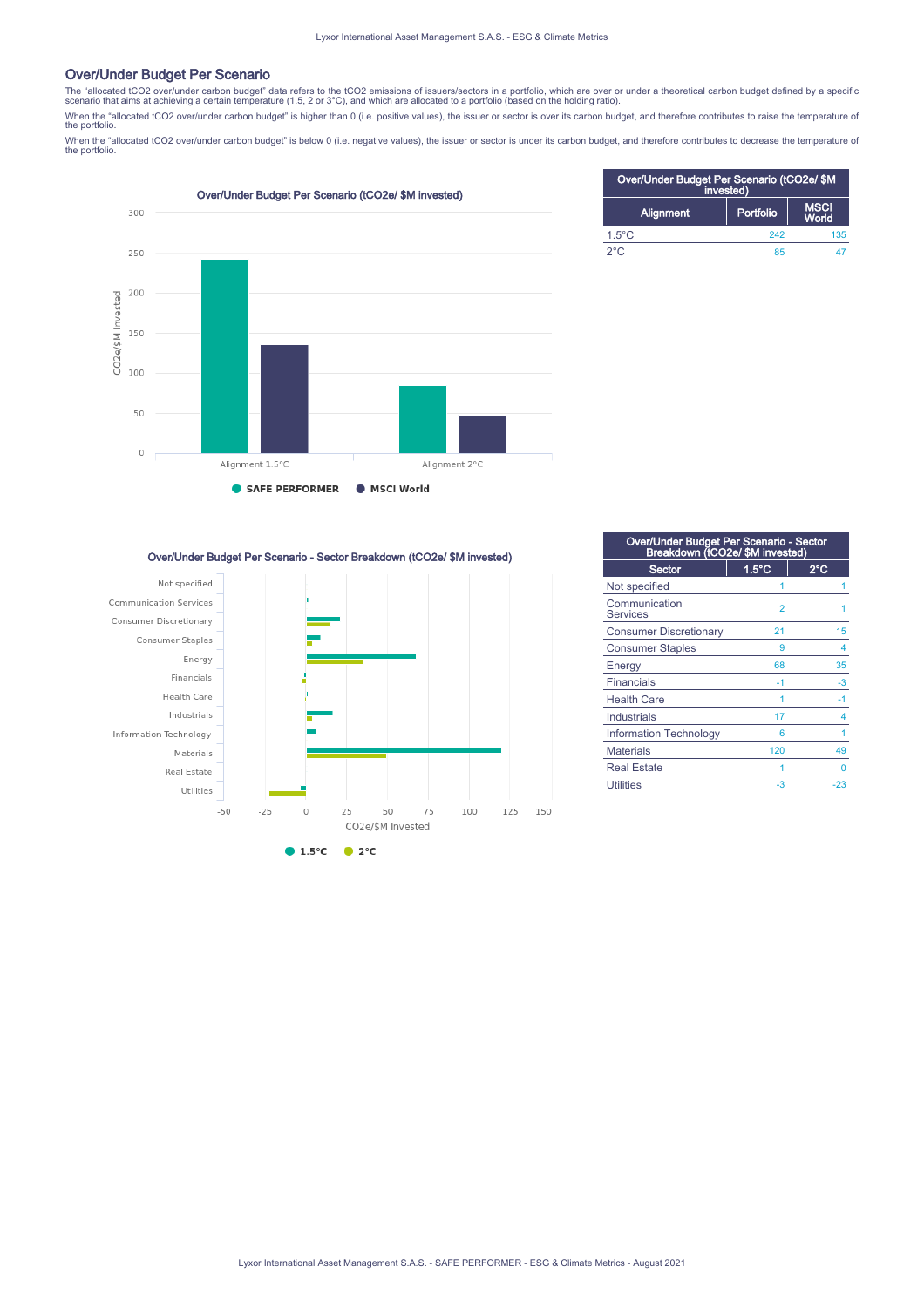### Over/Under Budget Per Scenario

The "allocated tCO2 over/under carbon budget" data refers to the tCO2 emissions of issuers/sectors in a portfolio, which are over or under a theoretical carbon budget defined by a specific<br>scenario that aims at achieving a scenario that aims at achieving a certain temperature (1.5, 2 or 3°C), and which are allocated to a portfolio (based on the holding ratio).

When the "allocated tCO2 over/under carbon budget" is higher than 0 (i.e. positive values), the issuer or sector is over its carbon budget, and therefore contributes to raise the temperature of the portfolio.

When the "allocated tCO2 over/under carbon budget" is below 0 (i.e. negative values), the issuer or sector is under its carbon budget, and therefore contributes to decrease the temperature of<br>the portfolio.



| Over/Under Budget Per Scenario (tCO2e/ \$M<br>invested) |           |                      |
|---------------------------------------------------------|-----------|----------------------|
| <b>Alignment</b>                                        | Portfolio | <b>MSCI</b><br>World |
| $1.5^{\circ}$ C                                         | 242       | 135                  |
| $2^{\circ}$ C                                           | 85        |                      |

Over/Under Budget Per Scenario - Sector Breakdown (tCO2e/ \$M invested)



| Over/Under Budget Per Scenario - Sector<br>Breakdown (tCO2e/ \$M invested) |                 |       |  |
|----------------------------------------------------------------------------|-----------------|-------|--|
| Sector                                                                     | $1.5^{\circ}$ C | 2°C   |  |
| Not specified                                                              | 1               |       |  |
| Communication<br><b>Services</b>                                           | $\overline{2}$  |       |  |
| <b>Consumer Discretionary</b>                                              | 21              | 15    |  |
| <b>Consumer Staples</b>                                                    | 9               | 4     |  |
| Energy                                                                     | 68              | 35    |  |
| <b>Financials</b>                                                          | $-1$            | $-3$  |  |
| <b>Health Care</b>                                                         | 1               | -1    |  |
| Industrials                                                                | 17              | 4     |  |
| Information Technology                                                     | 6               |       |  |
| <b>Materials</b>                                                           | 120             | 49    |  |
| <b>Real Estate</b>                                                         |                 | 0     |  |
| <b>Utilities</b>                                                           | $-3$            | $-23$ |  |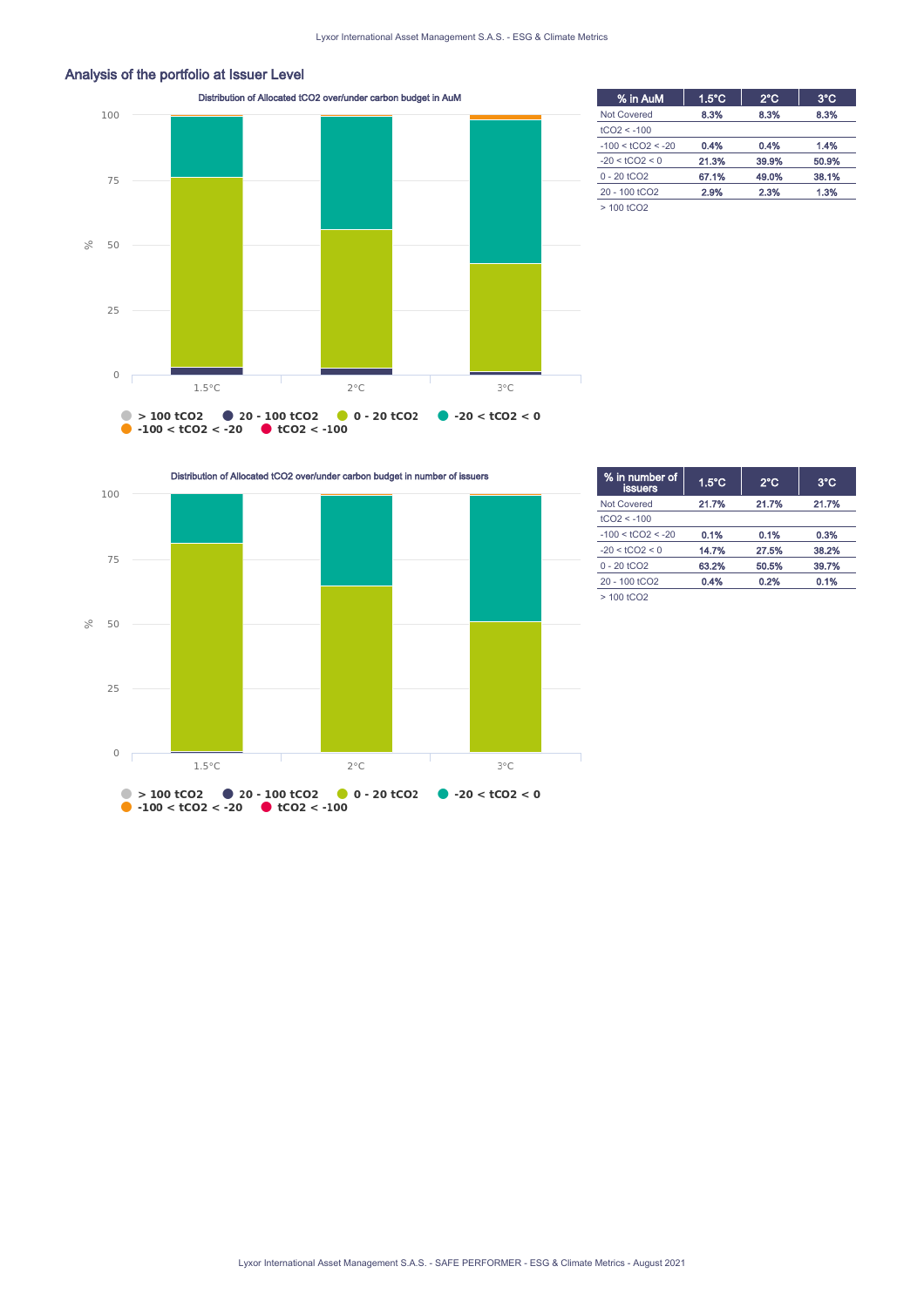

Analysis of the portfolio at Issuer Level

| % in AuM                  | $1.5^{\circ}$ C | $2^{\circ}$ C | $3^{\circ}$ C |
|---------------------------|-----------------|---------------|---------------|
| <b>Not Covered</b>        | 8.3%            | 8.3%          | 8.3%          |
| $tCO2 < -100$             |                 |               |               |
| $-100 < tCO2 < -20$       | 0.4%            | 0.4%          | 1.4%          |
| $-20 < tCO2 < 0$          | 21.3%           | 39.9%         | 50.9%         |
| $0 - 20$ tCO <sub>2</sub> | 67.1%           | 49.0%         | 38.1%         |
| 20 - 100 tCO <sub>2</sub> | 2.9%            | 2.3%          | 1.3%          |
| $>100$ tCO <sub>2</sub>   |                 |               |               |

Distribution of Allocated tCO2 over/under carbon budget in number of issuers



| % in number of<br><b>issuers</b> | $1.5^{\circ}$ C | $2^{\circ}$ C | $3^{\circ}$ C |
|----------------------------------|-----------------|---------------|---------------|
| <b>Not Covered</b>               | 21.7%           | 21.7%         | 21.7%         |
| $tCO2 < -100$                    |                 |               |               |
| $-100 < tCO2 < -20$              | 0.1%            | 0.1%          | 0.3%          |
| $-20 < tCO2 < 0$                 | 14.7%           | 27.5%         | 38.2%         |
| $0 - 20$ tCO <sub>2</sub>        | 63.2%           | 50.5%         | 39.7%         |
| 20 - 100 tCO <sub>2</sub>        | 0.4%            | 0.2%          | 0.1%          |
| $>100$ tCO <sub>2</sub>          |                 |               |               |